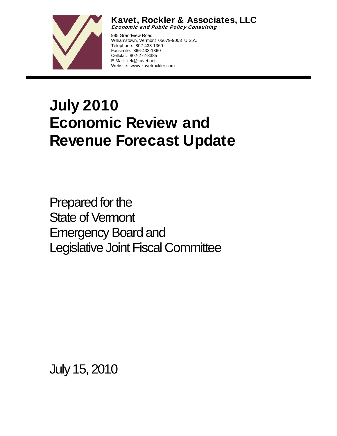

Kavet, Rockler & Associates, LLC

Economic and Public Policy Consulting

985 Grandview Road Williamstown, Vermont 05679-9003 U.S.A. Telephone: 802-433-1360 Facsimile: 866-433-1360 Cellular: 802-272-8385 E-Mail: tek@kavet.net Website: www.kavetrockler.com

# July 2010 Economic Review and Revenue Forecast Update

Prepared for the State of Vermont Emergency Board and Legislative Joint Fiscal Committee

July 15, 2010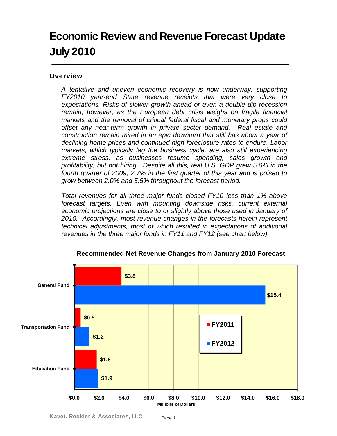## Economic Review and Revenue Forecast Update July 2010

## **Overview**

*A tentative and uneven economic recovery is now underway, supporting FY2010 year-end State revenue receipts that were very close to expectations. Risks of slower growth ahead or even a double dip recession remain, however, as the European debt crisis weighs on fragile financial markets and the removal of critical federal fiscal and monetary props could offset any near-term growth in private sector demand. Real estate and construction remain mired in an epic downturn that still has about a year of declining home prices and continued high foreclosure rates to endure. Labor markets, which typically lag the business cycle, are also still experiencing extreme stress, as businesses resume spending, sales growth and profitability, but not hiring. Despite all this, real U.S. GDP grew 5.6% in the fourth quarter of 2009, 2.7% in the first quarter of this year and is poised to grow between 2.0% and 5.5% throughout the forecast period.* 

*Total revenues for all three major funds closed FY10 less than 1% above forecast targets. Even with mounting downside risks, current external economic projections are close to or slightly above those used in January of 2010. Accordingly, most revenue changes in the forecasts herein represent technical adjustments, most of which resulted in expectations of additional revenues in the three major funds in FY11 and FY12 (see chart below).* 



**Recommended Net Revenue Changes from January 2010 Forecast**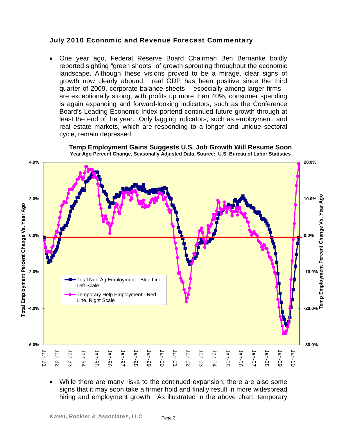## July 2010 Economic and Revenue Forecast Commentary

• One year ago, Federal Reserve Board Chairman Ben Bernanke boldly reported sighting "green shoots" of growth sprouting throughout the economic landscape. Although these visions proved to be a mirage, clear signs of growth now clearly abound: real GDP has been positive since the third quarter of 2009, corporate balance sheets – especially among larger firms – are exceptionally strong, with profits up more than 40%, consumer spending is again expanding and forward-looking indicators, such as the Conference Board's Leading Economic Index portend continued future growth through at least the end of the year. Only lagging indicators, such as employment, and real estate markets, which are responding to a longer and unique sectoral cycle, remain depressed.



**Temp Employment Gains Suggests U.S. Job Growth Will Resume Soon Year Ago Percent Change, Seasonally Adjusted Data, Source: U.S. Bureau of Labor Statistics**

• While there are many risks to the continued expansion, there are also some signs that it may soon take a firmer hold and finally result in more widespread hiring and employment growth. As illustrated in the above chart, temporary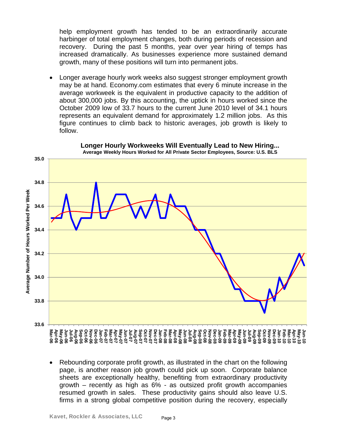help employment growth has tended to be an extraordinarily accurate harbinger of total employment changes, both during periods of recession and recovery. During the past 5 months, year over year hiring of temps has increased dramatically. As businesses experience more sustained demand growth, many of these positions will turn into permanent jobs.

• Longer average hourly work weeks also suggest stronger employment growth may be at hand. Economy.com estimates that every 6 minute increase in the average workweek is the equivalent in productive capacity to the addition of about 300,000 jobs. By this accounting, the uptick in hours worked since the October 2009 low of 33.7 hours to the current June 2010 level of 34.1 hours represents an equivalent demand for approximately 1.2 million jobs. As this figure continues to climb back to historic averages, job growth is likely to follow.



**Longer Hourly Workweeks Will Eventually Lead to New Hiring... Average Weekly Hours Worked for All Private Sector Employees, Source: U.S. BLS**

• Rebounding corporate profit growth, as illustrated in the chart on the following page, is another reason job growth could pick up soon. Corporate balance sheets are exceptionally healthy, benefiting from extraordinary productivity growth – recently as high as 6% - as outsized profit growth accompanies resumed growth in sales. These productivity gains should also leave U.S. firms in a strong global competitive position during the recovery, especially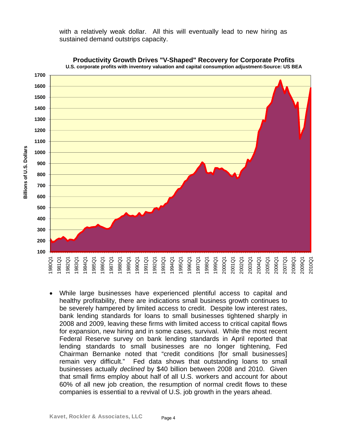with a relatively weak dollar. All this will eventually lead to new hiring as sustained demand outstrips capacity.



**Productivity Growth Drives "V-Shaped" Recovery for Corporate Profits U.S. corporate profits with inventory valuation and capital consumption adjustment-Source: US BEA** 

• While large businesses have experienced plentiful access to capital and healthy profitability, there are indications small business growth continues to be severely hampered by limited access to credit. Despite low interest rates, bank lending standards for loans to small businesses tightened sharply in 2008 and 2009, leaving these firms with limited access to critical capital flows for expansion, new hiring and in some cases, survival. While the most recent Federal Reserve survey on bank lending standards in April reported that lending standards to small businesses are no longer tightening, Fed Chairman Bernanke noted that "credit conditions [for small businesses] remain very difficult." Fed data shows that outstanding loans to small businesses actually *declined* by \$40 billion between 2008 and 2010. Given that small firms employ about half of all U.S. workers and account for about 60% of all new job creation, the resumption of normal credit flows to these companies is essential to a revival of U.S. job growth in the years ahead.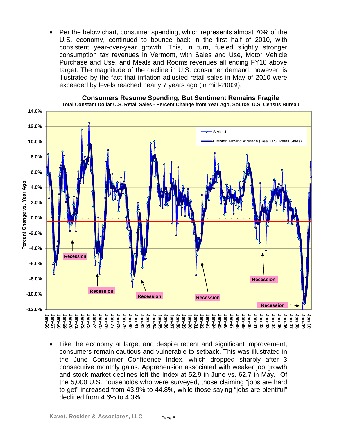• Per the below chart, consumer spending, which represents almost 70% of the U.S. economy, continued to bounce back in the first half of 2010, with consistent year-over-year growth. This, in turn, fueled slightly stronger consumption tax revenues in Vermont, with Sales and Use, Motor Vehicle Purchase and Use, and Meals and Rooms revenues all ending FY10 above target. The magnitude of the decline in U.S. consumer demand, however, is illustrated by the fact that inflation-adjusted retail sales in May of 2010 were exceeded by levels reached nearly 7 years ago (in mid-2003!).



**Consumers Resume Spending, But Sentiment Remains Fragile Total Constant Dollar U.S. Retail Sales - Percent Change from Year Ago, Source: U.S. Census Bureau** 

Like the economy at large, and despite recent and significant improvement, consumers remain cautious and vulnerable to setback. This was illustrated in the June Consumer Confidence Index, which dropped sharply after 3 consecutive monthly gains. Apprehension associated with weaker job growth and stock market declines left the Index at 52.9 in June vs. 62.7 in May. Of the 5,000 U.S. households who were surveyed, those claiming "jobs are hard to get" increased from 43.9% to 44.8%, while those saying "jobs are plentiful" declined from 4.6% to 4.3%.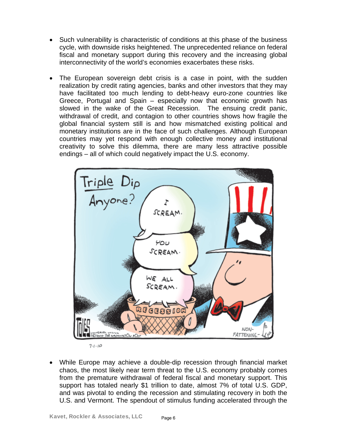- Such vulnerability is characteristic of conditions at this phase of the business cycle, with downside risks heightened. The unprecedented reliance on federal fiscal and monetary support during this recovery and the increasing global interconnectivity of the world's economies exacerbates these risks.
- The European sovereign debt crisis is a case in point, with the sudden realization by credit rating agencies, banks and other investors that they may have facilitated too much lending to debt-heavy euro-zone countries like Greece, Portugal and Spain – especially now that economic growth has slowed in the wake of the Great Recession. The ensuing credit panic, withdrawal of credit, and contagion to other countries shows how fragile the global financial system still is and how mismatched existing political and monetary institutions are in the face of such challenges. Although European countries may yet respond with enough collective money and institutional creativity to solve this dilemma, there are many less attractive possible endings – all of which could negatively impact the U.S. economy.



 $7 - 10$ 

• While Europe may achieve a double-dip recession through financial market chaos, the most likely near term threat to the U.S. economy probably comes from the premature withdrawal of federal fiscal and monetary support. This support has totaled nearly \$1 trillion to date, almost 7% of total U.S. GDP, and was pivotal to ending the recession and stimulating recovery in both the U.S. and Vermont. The spendout of stimulus funding accelerated through the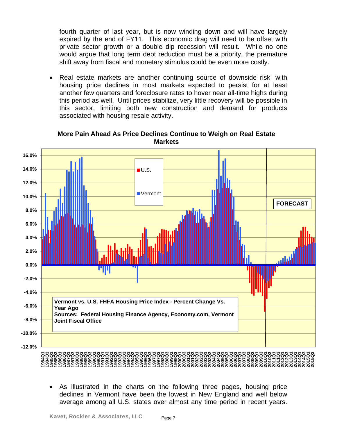fourth quarter of last year, but is now winding down and will have largely expired by the end of FY11. This economic drag will need to be offset with private sector growth or a double dip recession will result. While no one would argue that long term debt reduction must be a priority, the premature shift away from fiscal and monetary stimulus could be even more costly.

• Real estate markets are another continuing source of downside risk, with housing price declines in most markets expected to persist for at least another few quarters and foreclosure rates to hover near all-time highs during this period as well. Until prices stabilize, very little recovery will be possible in this sector, limiting both new construction and demand for products associated with housing resale activity.



**More Pain Ahead As Price Declines Continue to Weigh on Real Estate Markets**

• As illustrated in the charts on the following three pages, housing price declines in Vermont have been the lowest in New England and well below average among all U.S. states over almost any time period in recent years.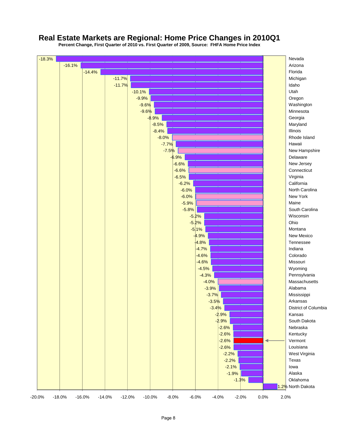## **Real Estate Markets are Regional: Home Price Changes in 2010Q1**

**Percent Change, First Quarter of 2010 vs. First Quarter of 2009, Source: FHFA Home Price Index**

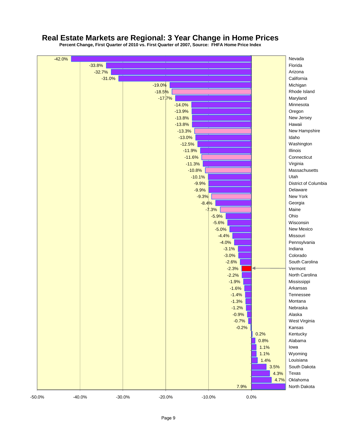## **Real Estate Markets are Regional: 3 Year Change in Home Prices**

**Percent Change, First Quarter of 2010 vs. First Quarter of 2007, Source: FHFA Home Price Index**

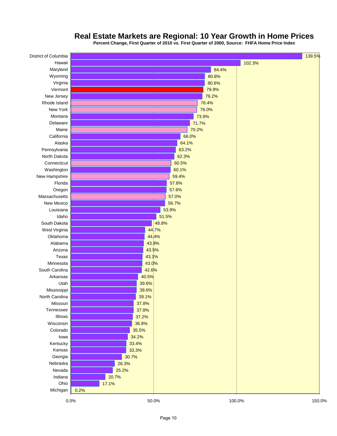

## **Real Estate Markets are Regional: 10 Year Growth in Home Prices**

**Percent Change, First Quarter of 2010 vs. First Quarter of 2000, Source: FHFA Home Price Index**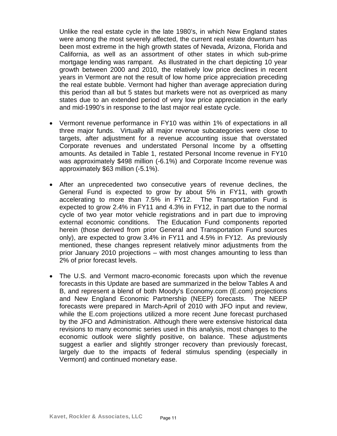Unlike the real estate cycle in the late 1980's, in which New England states were among the most severely affected, the current real estate downturn has been most extreme in the high growth states of Nevada, Arizona, Florida and California, as well as an assortment of other states in which sub-prime mortgage lending was rampant. As illustrated in the chart depicting 10 year growth between 2000 and 2010, the relatively low price declines in recent years in Vermont are not the result of low home price appreciation preceding the real estate bubble. Vermont had higher than average appreciation during this period than all but 5 states but markets were not as overpriced as many states due to an extended period of very low price appreciation in the early and mid-1990's in response to the last major real estate cycle.

- Vermont revenue performance in FY10 was within 1% of expectations in all three major funds. Virtually all major revenue subcategories were close to targets, after adjustment for a revenue accounting issue that overstated Corporate revenues and understated Personal Income by a offsetting amounts. As detailed in Table 1, restated Personal Income revenue in FY10 was approximately \$498 million (-6.1%) and Corporate Income revenue was approximately \$63 million (-5.1%).
- After an unprecedented two consecutive years of revenue declines, the General Fund is expected to grow by about 5% in FY11, with growth accelerating to more than 7.5% in FY12. The Transportation Fund is expected to grow 2.4% in FY11 and 4.3% in FY12, in part due to the normal cycle of two year motor vehicle registrations and in part due to improving external economic conditions. The Education Fund components reported herein (those derived from prior General and Transportation Fund sources only), are expected to grow 3.4% in FY11 and 4.5% in FY12. As previously mentioned, these changes represent relatively minor adjustments from the prior January 2010 projections – with most changes amounting to less than 2% of prior forecast levels.
- The U.S. and Vermont macro-economic forecasts upon which the revenue forecasts in this Update are based are summarized in the below Tables A and B, and represent a blend of both Moody's Economy.com (E.com) projections and New England Economic Partnership (NEEP) forecasts. The NEEP forecasts were prepared in March-April of 2010 with JFO input and review, while the E.com projections utilized a more recent June forecast purchased by the JFO and Administration. Although there were extensive historical data revisions to many economic series used in this analysis, most changes to the economic outlook were slightly positive, on balance. These adjustments suggest a earlier and slightly stronger recovery than previously forecast, largely due to the impacts of federal stimulus spending (especially in Vermont) and continued monetary ease.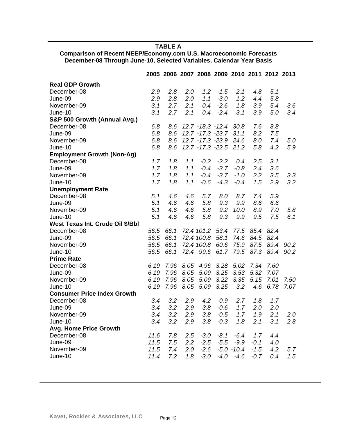**TABLE A** 

**Comparison of Recent NEEP/Economy.com U.S. Macroeconomic Forecasts December-08 Through June-10, Selected Variables, Calendar Year Basis** 

|                                    |      |      |      | 2005 2006 2007 2008 2009 2010 2011 2012 2013 |        |               |        |      |         |
|------------------------------------|------|------|------|----------------------------------------------|--------|---------------|--------|------|---------|
| <b>Real GDP Growth</b>             |      |      |      |                                              |        |               |        |      |         |
| December-08                        | 2.9  | 2.8  | 2.0  | 1.2                                          | $-1.5$ | 2.1           | 4.8    | 5.1  |         |
| June-09                            | 2.9  | 2.8  | 2.0  | 1.1                                          | $-3.0$ | 1.2           | 4.4    | 5.8  |         |
| November-09                        | 3.1  | 2.7  | 2.1  | 0.4                                          | $-2.6$ | 1.8           | 3.9    | 5.4  | 3.6     |
| June-10                            | 3.1  | 2.7  | 2.1  | 0.4                                          | $-2.4$ | 3.1           | 3.9    | 5.0  | 3.4     |
| S&P 500 Growth (Annual Avg.)       |      |      |      |                                              |        |               |        |      |         |
| December-08                        | 6.8  | 8.6  |      | $12.7 - 18.3 - 12.4$                         |        | 30.8          | 7.6    | 8.8  |         |
| June-09                            | 6.8  | 8.6  |      | 12.7 - 17.3 - 23.7                           |        | 31.1          | 8.2    | 7.5  |         |
| November-09                        | 6.8  | 8.6  |      | 12.7 - 17.3 - 23.9                           |        | 24.6          | 8.0    | 7.4  | 5.0     |
| June-10                            | 6.8  | 8.6  |      | 12.7 - 17.3 - 22.5 21.2                      |        |               | 5.8    | 4.2  | 5.9     |
| <b>Employment Growth (Non-Ag)</b>  |      |      |      |                                              |        |               |        |      |         |
| December-08                        | 1.7  | 1.8  | 1.1  | $-0.2$                                       | $-2.2$ | 0.4           | 2.5    | 3.1  |         |
| June-09                            | 1.7  | 1.8  | 1.1  | $-0.4$                                       | $-3.7$ | $-0.8$        | 2.4    | 3.6  |         |
| November-09                        | 1.7  | 1.8  | 1.1  | $-0.4$                                       | $-3.7$ | $-1.0$        | 2.2    | 3.5  | 3.3     |
| June-10                            | 1.7  | 1.8  | 1.1  | $-0.6$                                       | $-4.3$ | $-0.4$        | 1.5    | 2.9  | 3.2     |
| <b>Unemployment Rate</b>           |      |      |      |                                              |        |               |        |      |         |
| December-08                        | 5.1  | 4.6  | 4.6  | 5.7                                          | 8.0    | 8.7           | 7.4    | 5.9  |         |
| June-09                            | 5.1  | 4.6  | 4.6  | 5.8                                          | 9.3    | 9.9           | 8.6    | 6.6  |         |
| November-09                        | 5.1  | 4.6  | 4.6  | 5.8                                          | 9.2    | 10.0          | 8.9    | 7.0  | 5.8     |
| June-10                            | 5.1  | 4.6  | 4.6  | 5.8                                          | 9.3    | 9.9           | 9.5    | 7.5  | 6.1     |
| West Texas Int. Crude Oil \$/Bbl   |      |      |      |                                              |        |               |        |      |         |
| December-08                        | 56.5 | 66.1 |      | 72.4 101.2                                   | 53.4   | 77.5          | 85.4   | 82.4 |         |
| June-09                            | 56.5 | 66.1 |      | 72.4 100.8                                   | 58.1   | 74.6          | 84.5   | 82.4 |         |
| November-09                        | 56.5 | 66.1 |      | 72.4 100.8                                   | 60.6   | 75.9          | 87.5   | 89.4 | 90.2    |
| June-10                            | 56.5 | 66.1 |      | 72.4 99.6                                    | 61.7   | 79.5          | 87.3   | 89.4 | 90.2    |
| <b>Prime Rate</b>                  |      |      |      |                                              |        |               |        |      |         |
| December-08                        | 6.19 | 7.96 | 8.05 | 4.96                                         | 3.28   | 5.02          | 7.34   | 7.60 |         |
| June-09                            | 6.19 | 7.96 | 8.05 | 5.09                                         | 3.25   | 3.53          | 5.32   | 7.07 |         |
| November-09                        | 6.19 | 7.96 | 8.05 | 5.09                                         | 3.22   | 3.35          | 5.15   | 7.01 | 7.50    |
| June-10                            | 6.19 | 7.96 | 8.05 | 5.09                                         | 3.25   | 3.2           | 4.6    | 6.78 | 7.07    |
| <b>Consumer Price Index Growth</b> |      |      |      |                                              |        |               |        |      |         |
| December-08                        | 3.4  | 3.2  | 2.9  | 4.2                                          | 0.9    | 2.7           | 1.8    | 1.7  |         |
| June-09                            | 3.4  | 3.2  | 2.9  | 3.8                                          | $-0.6$ | 1.7           | 2.0    | 2.0  |         |
| November-09                        | 3.4  | 3.2  | 2.9  | 3.8                                          | $-0.5$ | 1.7           | 1.9    | 2.1  | 2.0     |
| June-10                            | 3.4  | 3.2  | 2.9  | 3.8                                          | $-0.3$ | 1.8           | 2.1    | 3.1  | $2.8\,$ |
| <b>Avg. Home Price Growth</b>      |      |      |      |                                              |        |               |        |      |         |
| December-08                        | 11.6 | 7.8  | 2.5  | $-3.0$                                       | $-8.1$ | $-6.4$        | 1.7    | 4.4  |         |
| June-09                            | 11.5 | 7.5  | 2.2  | $-2.5$                                       | $-5.5$ | $-9.9$        | $-0.1$ | 4.0  |         |
| November-09                        | 11.5 | 7.4  | 2.0  | $-2.6$                                       |        | $-5.0 - 10.4$ | $-1.5$ | 4.2  | 5.7     |
| June-10                            | 11.4 | 7.2  | 1.8  | $-3.0$                                       | $-4.0$ | $-4.6$        | $-0.7$ | 0.4  | 1.5     |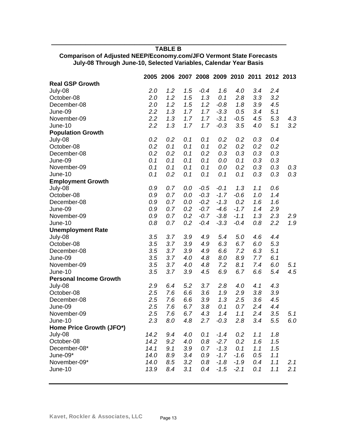## \_\_\_\_\_\_\_\_\_\_\_\_\_\_\_\_\_\_\_\_\_\_\_\_\_\_\_\_\_\_\_\_\_\_\_\_\_\_\_\_\_\_\_\_\_\_\_\_ **TABLE B**

|                               |      |     |     |        |        |        |     | 2005 2006 2007 2008 2009 2010 2011 2012 2013 |     |
|-------------------------------|------|-----|-----|--------|--------|--------|-----|----------------------------------------------|-----|
| <b>Real GSP Growth</b>        |      |     |     |        |        |        |     |                                              |     |
| July-08                       | 2.0  | 1.2 | 1.5 | $-0.4$ | 1.6    | 4.0    | 3.4 | 2.4                                          |     |
| October-08                    | 2.0  | 1.2 | 1.5 | 1.3    | 0.1    | 2.8    | 3.3 | 3.2                                          |     |
| December-08                   | 2.0  | 1.2 | 1.5 | 1.2    | $-0.8$ | 1.8    | 3.9 | 4.5                                          |     |
| June-09                       | 2.2  | 1.3 | 1.7 | 1.7    | $-3.3$ | 0.5    | 3.4 | 5.1                                          |     |
| November-09                   | 2.2  | 1.3 | 1.7 | 1.7    | $-3.1$ | $-0.5$ | 4.5 | 5.3                                          | 4.3 |
| June-10                       | 2.2  | 1.3 | 1.7 | 1.7    | $-0.3$ | 3.5    | 4.0 | 5.1                                          | 3.2 |
| <b>Population Growth</b>      |      |     |     |        |        |        |     |                                              |     |
| July-08                       | 0.2  | 0.2 | 0.1 | 0.1    | 0.2    | 0.2    | 0.3 | 0.4                                          |     |
| October-08                    | 0.2  | 0.1 | 0.1 | 0.1    | 0.2    | 0.2    | 0.2 | 0.2                                          |     |
| December-08                   | 0.2  | 0.2 | 0.1 | 0.2    | 0.3    | 0.3    | 0.3 | 0.3                                          |     |
| June-09                       | 0.1  | 0.1 | 0.1 | 0.1    | 0.0    | 0.1    | 0.3 | 0.3                                          |     |
| November-09                   | 0.1  | 0.1 | 0.1 | 0.1    | 0.0    | 0.2    | 0.3 | 0.3                                          | 0.3 |
| June-10                       | 0.1  | 0.2 | 0.1 | 0.1    | 0.1    | 0.1    | 0.3 | 0.3                                          | 0.3 |
| <b>Employment Growth</b>      |      |     |     |        |        |        |     |                                              |     |
| July-08                       | 0.9  | 0.7 | 0.0 | $-0.5$ | $-0.1$ | 1.3    | 1.1 | 0.6                                          |     |
| October-08                    | 0.9  | 0.7 | 0.0 | $-0.3$ | $-1.7$ | $-0.6$ | 1.0 | 1.4                                          |     |
| December-08                   | 0.9  | 0.7 | 0.0 | $-0.2$ | $-1.3$ | 0.2    | 1.6 | 1.6                                          |     |
| June-09                       | 0.9  | 0.7 | 0.2 | $-0.7$ | $-4.6$ | $-1.7$ | 1.4 | 2.9                                          |     |
| November-09                   | 0.9  | 0.7 | 0.2 | $-0.7$ | $-3.8$ | $-1.1$ | 1.3 | 2.3                                          | 2.9 |
| June-10                       | 0.8  | 0.7 | 0.2 | $-0.4$ | $-3.3$ | $-0.4$ | 0.8 | 2.2                                          | 1.9 |
| <b>Unemployment Rate</b>      |      |     |     |        |        |        |     |                                              |     |
| July-08                       | 3.5  | 3.7 | 3.9 | 4.9    | 5.4    | 5.0    | 4.6 | 4.4                                          |     |
| October-08                    | 3.5  | 3.7 | 3.9 | 4.9    | 6.3    | 6.7    | 6.0 | 5.3                                          |     |
| December-08                   | 3.5  | 3.7 | 3.9 | 4.9    | 6.6    | 7.2    | 6.3 | 5.1                                          |     |
| June-09                       | 3.5  | 3.7 | 4.0 | 4.8    | 8.0    | 8.9    | 7.7 | 6.1                                          |     |
| November-09                   | 3.5  | 3.7 | 4.0 | 4.8    | 7.2    | 8.1    | 7.4 | 6.0                                          | 5.1 |
| June-10                       | 3.5  | 3.7 | 3.9 | 4.5    | 6.9    | 6.7    | 6.6 | 5.4                                          | 4.5 |
| <b>Personal Income Growth</b> |      |     |     |        |        |        |     |                                              |     |
| July-08                       | 2.9  | 6.4 | 5.2 | 3.7    | 2.8    | 4.0    | 4.1 | 4.3                                          |     |
| October-08                    | 2.5  | 7.6 | 6.6 | 3.6    | 1.9    | 2.9    | 3.8 | 3.9                                          |     |
| December-08                   | 2.5  | 7.6 | 6.6 | 3.9    | 1.3    | 2.5    | 3.6 | 4.5                                          |     |
| June-09                       | 2.5  | 7.6 | 6.7 | 3.8    | 0.1    | 0.7    | 2.4 | 4.4                                          |     |
| November-09                   | 2.5  | 7.6 | 6.7 | 4.3    | 1.4    | 1.1    | 2.4 | 3.5                                          | 5.1 |
| June-10                       | 2.3  | 8.0 | 4.8 | 2.7    | $-0.3$ | 2.8    | 3.4 | 5.5                                          | 6.0 |
| Home Price Growth (JFO*)      |      |     |     |        |        |        |     |                                              |     |
| July-08                       | 14.2 | 9.4 | 4.0 | 0.1    | $-1.4$ | 0.2    | 1.1 | 1.8                                          |     |
| October-08                    | 14.2 | 9.2 | 4.0 | 0.8    | $-2.7$ | 0.2    | 1.6 | 1.5                                          |     |
| December-08*                  | 14.1 | 9.1 | 3.9 | 0.7    | $-1.3$ | 0.1    | 1.1 | 1.5                                          |     |
| June-09*                      | 14.0 | 8.9 | 3.4 | 0.9    | $-1.7$ | $-1.6$ | 0.5 | 1.1                                          |     |
| November-09*                  | 14.0 | 8.5 | 3.2 | 0.8    | $-1.8$ | $-1.9$ | 0.4 | 1.1                                          | 2.1 |
| June-10                       | 13.9 | 8.4 | 3.1 | 0.4    | $-1.5$ | $-2.1$ | 0.1 | 1.1                                          | 2.1 |

## **Comparison of Adjusted NEEP/Economy.com/JFO Vermont State Forecasts July-08 Through June-10, Selected Variables, Calendar Year Basis**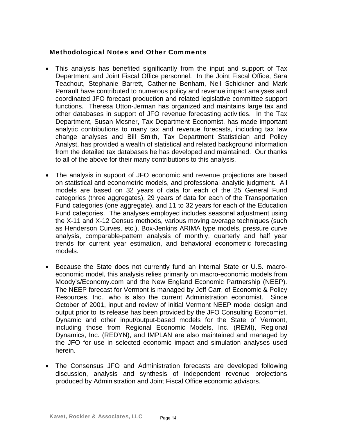## Methodological Notes and Other Comments

- This analysis has benefited significantly from the input and support of Tax Department and Joint Fiscal Office personnel. In the Joint Fiscal Office, Sara Teachout, Stephanie Barrett, Catherine Benham, Neil Schickner and Mark Perrault have contributed to numerous policy and revenue impact analyses and coordinated JFO forecast production and related legislative committee support functions. Theresa Utton-Jerman has organized and maintains large tax and other databases in support of JFO revenue forecasting activities. In the Tax Department, Susan Mesner, Tax Department Economist, has made important analytic contributions to many tax and revenue forecasts, including tax law change analyses and Bill Smith, Tax Department Statistician and Policy Analyst, has provided a wealth of statistical and related background information from the detailed tax databases he has developed and maintained. Our thanks to all of the above for their many contributions to this analysis.
- The analysis in support of JFO economic and revenue projections are based on statistical and econometric models, and professional analytic judgment. All models are based on 32 years of data for each of the 25 General Fund categories (three aggregates), 29 years of data for each of the Transportation Fund categories (one aggregate), and 11 to 32 years for each of the Education Fund categories. The analyses employed includes seasonal adjustment using the X-11 and X-12 Census methods, various moving average techniques (such as Henderson Curves, etc.), Box-Jenkins ARIMA type models, pressure curve analysis, comparable-pattern analysis of monthly, quarterly and half year trends for current year estimation, and behavioral econometric forecasting models.
- Because the State does not currently fund an internal State or U.S. macroeconomic model, this analysis relies primarily on macro-economic models from Moody's/Economy.com and the New England Economic Partnership (NEEP). The NEEP forecast for Vermont is managed by Jeff Carr, of Economic & Policy Resources, Inc., who is also the current Administration economist. Since October of 2001, input and review of initial Vermont NEEP model design and output prior to its release has been provided by the JFO Consulting Economist. Dynamic and other input/output-based models for the State of Vermont, including those from Regional Economic Models, Inc. (REMI), Regional Dynamics, Inc. (REDYN), and IMPLAN are also maintained and managed by the JFO for use in selected economic impact and simulation analyses used herein.
- The Consensus JFO and Administration forecasts are developed following discussion, analysis and synthesis of independent revenue projections produced by Administration and Joint Fiscal Office economic advisors.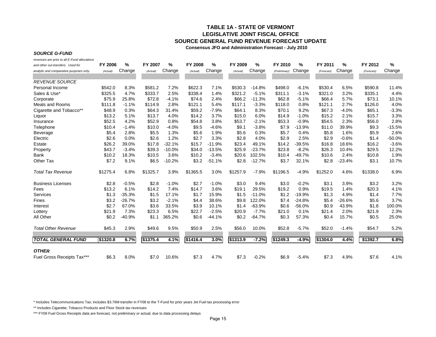## **TABLE 1A - STATE OF VERMONT LEGISLATIVE JOINT FISCAL OFFICE SOURCE GENERAL FUND REVENUE FORECAST UPDATE**

**Consensus JFO and Administration Forecast - July 2010**

#### *SOURCE G-FUND*

*revenues are prior to all E-Fund allocations*

| and other out-transfers. Used for       | FY 2006  | %        | FY 2007  | %        | <b>FY 2008</b> | %        | FY 2009  | $\%$     | FY 2010       | %        | FY 2011    | %        | FY 2012    | %        |
|-----------------------------------------|----------|----------|----------|----------|----------------|----------|----------|----------|---------------|----------|------------|----------|------------|----------|
| analytic and comparative purposes only. | (Actual) | Change   | (Actual) | Change   | (Actual)       | Change   | (Actual) | Change   | (Preliminary) | Change   | (Forecast) | Change   | (Forecast) | Change   |
| <b>REVENUE SOURCE</b>                   |          |          |          |          |                |          |          |          |               |          |            |          |            |          |
| Personal Income                         | \$542.0  | 8.3%     | \$581.2  | 7.2%     | \$622.3        | 7.1%     | \$530.3  | $-14.8%$ | \$498.0       | $-6.1%$  | \$530.4    | 6.5%     | \$590.8    | 11.4%    |
| Sales & Use*                            | \$325.5  | 4.7%     | \$333.7  | 2.5%     | \$338.4        | 1.4%     | \$321.2  | $-5.1%$  | \$311.1       | $-3.1%$  | \$321.0    | 3.2%     | \$335.1    | 4.4%     |
| Corporate                               | \$75.9   | 25.8%    | \$72.8   | $-4.1%$  | \$74.6         | 2.4%     | \$66.2   | $-11.3%$ | \$62.8        | $-5.1%$  | \$66.4     | 5.7%     | \$73.1     | 10.1%    |
| <b>Meals and Rooms</b>                  | \$111.8  | $-1.1%$  | \$114.9  | 2.8%     | \$121.1        | 5.4%     | \$117.1  | $-3.3%$  | \$118.0       | 0.8%     | \$121.1    | 2.7%     | \$126.0    | 4.0%     |
| Cigarette and Tobacco**                 | \$48.9   | 0.3%     | \$64.3   | 31.4%    | \$59.2         | $-7.9%$  | \$64.1   | 8.3%     | \$70.1        | 9.2%     | \$67.3     | $-4.0%$  | \$65.1     | $-3.3%$  |
| Liquor                                  | \$13.2   | 5.1%     | \$13.7   | 4.0%     | \$14.2         | 3.7%     | \$15.0   | 6.0%     | \$14.9        | $-1.0%$  | \$15.2     | 2.1%     | \$15.7     | 3.3%     |
| Insurance                               | \$52.5   | 4.2%     | \$52.9   | 0.8%     | \$54.8         | 3.8%     | \$53.7   | $-2.1%$  | \$53.3        | $-0.9%$  | \$54.5     | 2.3%     | \$56.0     | 2.8%     |
| Telephone                               | \$10.4   | $-1.4%$  | \$10.0   | $-4.0%$  | \$9.5          | $-4.6%$  | \$9.1    | $-3.8%$  | \$7.9         | $-13.9%$ | \$11.0     | 39.9%    | \$9.3      | $-15.5%$ |
| Beverage                                | \$5.4    | 2.8%     | \$5.5    | 1.3%     | \$5.6          | 1.9%     | \$5.6    | 0.3%     | \$5.7         | 0.4%     | \$5.8      | 1.6%     | \$5.9      | 2.6%     |
| Electric                                | \$2.6    | 0.0%     | \$2.6    | 1.2%     | \$2.7          | 3.3%     | \$2.8    | 4.0%     | \$2.9         | 2.5%     | \$2.9      | $-0.6%$  | \$1.4      | $-50.0%$ |
| Estate                                  | \$26.2   | 39.0%    | \$17.8   | $-32.1%$ | \$15.7         | $-11.9%$ | \$23.4   | 49.1%    | \$14.2        | $-39.5%$ | \$16.8     | 18.6%    | \$16.2     | $-3.6%$  |
| Property                                | \$43.7   | $-3.4%$  | \$39.3   | $-10.0%$ | \$34.0         | $-13.5%$ | \$25.9   | $-23.7%$ | \$23.8        | $-8.2%$  | \$26.3     | 10.4%    | \$29.5     | 12.2%    |
| Bank                                    | \$10.2   | 18.3%    | \$10.5   | 3.6%     | \$10.2         | $-3.4%$  | \$20.6   | 102.5%   | \$10.4        | $-49.7%$ | \$10.6     | 2.4%     | \$10.8     | 1.9%     |
| Other Tax                               | \$7.2    | 9.1%     | \$6.5    | $-10.2%$ | \$3.2          | $-51.1%$ | \$2.8    | $-12.7%$ | \$3.7         | 32.1%    | \$2.8      | $-23.4%$ | \$3.1      | 10.7%    |
| <b>Total Tax Revenue</b>                | \$1275.4 | 6.8%     | \$1325.7 | 3.9%     | \$1365.5       | 3.0%     | \$1257.9 | $-7.9%$  | \$1196.5      | $-4.9%$  | \$1252.0   | 4.6%     | \$1338.0   | 6.9%     |
| <b>Business Licenses</b>                | \$2.8    | $-0.5%$  | \$2.8    | $-1.0%$  | \$2.7          | $-1.0%$  | \$3.0    | 9.4%     | \$3.0         | $-0.2%$  | \$3.1      | 3.9%     | \$3.2      | 3.2%     |
| Fees                                    | \$13.2   | 6.1%     | \$14.2   | 7.4%     | \$14.7         | 3.6%     | \$19.1   | 29.5%    | \$19.2        | 0.9%     | \$19.5     | 1.4%     | \$20.3     | 4.1%     |
| Services                                | \$1.3    | $-35.3%$ | \$1.5    | 17.1%    | \$1.7          | 15.9%    | \$1.5    | $-11.0%$ | \$1.2         | $-19.9%$ | \$1.3      | 4.9%     | \$1.4      | 7.7%     |
| Fines                                   | \$3.2    | $-26.7%$ | \$3.2    | $-2.1%$  | \$4.4          | 38.6%    | \$9.8    | 122.0%   | \$7.4         | $-24.8%$ | \$5.4      | $-26.6%$ | \$5.6      | 3.7%     |
| Interest                                | \$2.7    | 67.0%    | \$3.6    | 33.5%    | \$3.9          | 10.1%    | \$1.4    | $-63.9%$ | \$0.6         | $-56.0%$ | \$0.9      | 43.9%    | \$1.8      | 100.0%   |
| Lottery                                 | \$21.9   | 7.3%     | \$23.3   | 6.5%     | \$22.7         | $-2.5%$  | \$20.9   | $-7.7%$  | \$21.0        | 0.1%     | \$21.4     | 2.0%     | \$21.9     | 2.3%     |
| All Other                               | \$0.2    | $-40.9%$ | \$1.1    | 365.2%   | \$0.6          | $-44.1%$ | \$0.2    | $-64.7%$ | \$0.3         | 57.3%    | \$0.4      | 15.7%    | \$0.5      | 25.0%    |
| <b>Total Other Revenue</b>              | \$45.3   | 2.9%     | \$49.6   | 9.5%     | \$50.9         | 2.5%     | \$56.0   | 10.0%    | \$52.8        | $-5.7%$  | \$52.0     | $-1.4%$  | \$54.7     | 5.2%     |
| <b>TOTAL GENERAL FUND</b>               | \$1320.8 | 6.7%     | \$1375.4 | 4.1%     | \$1416.4       | 3.0%     | \$1313.9 | $-7.2%$  | \$1249.3      | $-4.9%$  | \$1304.0   | 4.4%     | \$1392.7   | 6.8%     |
| <b>OTHER</b>                            |          |          |          |          |                |          |          |          |               |          |            |          |            |          |
| Fuel Gross Receipts Tax***              | \$6.3    | 8.0%     | \$7.0    | 10.6%    | \$7.3          | 4.7%     | \$7.3    | $-0.2%$  | \$6.9         | $-5.4%$  | \$7.3      | 4.9%     | \$7.6      | 4.1%     |

\* Includes Telecommunications Tax; includes \$3.76M transfer in FY08 to the T-Fund for prior years Jet Fuel tax processing error

\*\* Includes Cigarette, Tobacco Products and Floor Stock tax revenues

\*\*\* FY09 Fuel Gross Receipts data are forecast, not preliminary or actual, due to data processing delays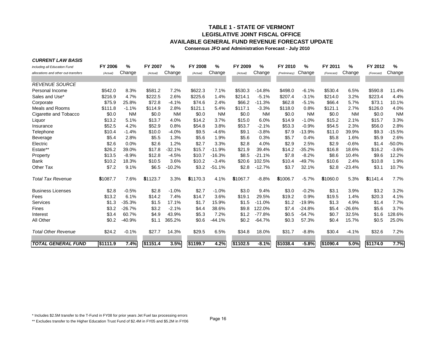## **TABLE 1 - STATE OF VERMONT LEGISLATIVE JOINT FISCAL OFFICEAVAILABLE GENERAL FUND REVENUE FORECAST UPDATE**

**Consensus JFO and Administration Forecast - July 2010**

|  | <b>CURRENT LAW BASIS</b> |
|--|--------------------------|

| including all Education Fund        | FY 2006  | %         | FY 2007  | %         | <b>FY 2008</b> | %         | FY 2009  | %         | FY 2010       | %         | FY 2011    | %         | FY 2012    | $\%$      |
|-------------------------------------|----------|-----------|----------|-----------|----------------|-----------|----------|-----------|---------------|-----------|------------|-----------|------------|-----------|
| allocations and other out-transfers | (Actual) | Change    | (Actual) | Change    | (Actual)       | Change    | (Actual) | Change    | (Preliminary) | Change    | (Forecast) | Change    | (Forecast) | Change    |
|                                     |          |           |          |           |                |           |          |           |               |           |            |           |            |           |
| <b>REVENUE SOURCE</b>               |          |           |          |           |                |           |          |           |               |           |            |           |            |           |
| Personal Income                     | \$542.0  | 8.3%      | \$581.2  | 7.2%      | \$622.3        | 7.1%      | \$530.3  | $-14.8%$  | \$498.0       | $-6.1%$   | \$530.4    | 6.5%      | \$590.8    | 11.4%     |
| Sales and Use*                      | \$216.9  | 4.7%      | \$222.5  | 2.6%      | \$225.6        | 1.4%      | \$214.1  | $-5.1%$   | \$207.4       | $-3.1%$   | \$214.0    | 3.2%      | \$223.4    | 4.4%      |
| Corporate                           | \$75.9   | 25.8%     | \$72.8   | $-4.1%$   | \$74.6         | 2.4%      | \$66.2   | $-11.3%$  | \$62.8        | $-5.1%$   | \$66.4     | 5.7%      | \$73.1     | 10.1%     |
| Meals and Rooms                     | \$111.8  | $-1.1%$   | \$114.9  | 2.8%      | \$121.1        | 5.4%      | \$117.1  | $-3.3%$   | \$118.0       | 0.8%      | \$121.1    | 2.7%      | \$126.0    | 4.0%      |
| Cigarette and Tobacco               | \$0.0    | <b>NM</b> | \$0.0    | <b>NM</b> | \$0.0          | <b>NM</b> | \$0.0    | <b>NM</b> | \$0.0         | <b>NM</b> | \$0.0      | <b>NM</b> | \$0.0      | <b>NM</b> |
| Liquor                              | \$13.2   | 5.1%      | \$13.7   | 4.0%      | \$14.2         | 3.7%      | \$15.0   | 6.0%      | \$14.9        | $-1.0%$   | \$15.2     | 2.1%      | \$15.7     | 3.3%      |
| Insurance                           | \$52.5   | 4.2%      | \$52.9   | 0.8%      | \$54.8         | 3.8%      | \$53.7   | $-2.1%$   | \$53.3        | $-0.9%$   | \$54.5     | 2.3%      | \$56.0     | 2.8%      |
| Telephone                           | \$10.4   | $-1.4%$   | \$10.0   | $-4.0%$   | \$9.5          | $-4.6%$   | \$9.1    | $-3.8%$   | \$7.9         | $-13.9%$  | \$11.0     | 39.9%     | \$9.3      | $-15.5%$  |
| Beverage                            | \$5.4    | 2.8%      | \$5.5    | 1.3%      | \$5.6          | 1.9%      | \$5.6    | 0.3%      | \$5.7         | 0.4%      | \$5.8      | 1.6%      | \$5.9      | 2.6%      |
| Electric                            | \$2.6    | 0.0%      | \$2.6    | 1.2%      | \$2.7          | 3.3%      | \$2.8    | 4.0%      | \$2.9         | 2.5%      | \$2.9      | $-0.6%$   | \$1.4      | $-50.0%$  |
| Estate**                            | \$26.2   | 39.0%     | \$17.8   | $-32.1%$  | \$15.7         | $-11.9%$  | \$21.9   | 39.4%     | \$14.2        | $-35.2%$  | \$16.8     | 18.6%     | \$16.2     | $-3.6%$   |
| Property                            | \$13.5   | $-8.9%$   | \$12.8   | $-4.5%$   | \$10.7         | $-16.3%$  | \$8.5    | $-21.1%$  | \$7.8         | $-8.2%$   | \$8.6      | 10.4%     | \$9.6      | 12.2%     |
| Bank                                | \$10.2   | 18.3%     | \$10.5   | 3.6%      | \$10.2         | $-3.4%$   | \$20.6   | 102.5%    | \$10.4        | $-49.7%$  | \$10.6     | 2.4%      | \$10.8     | 1.9%      |
| <b>Other Tax</b>                    | \$7.2    | 9.1%      | \$6.5    | $-10.2%$  | \$3.2          | $-51.1%$  | \$2.8    | $-12.7%$  | \$3.7         | 32.1%     | \$2.8      | $-23.4%$  | \$3.1      | 10.7%     |
| <b>Total Tax Revenue</b>            | \$1087.7 | 7.6%      | \$1123.7 | 3.3%      | \$1170.3       | 4.1%      | \$1067.7 | $-8.8%$   | \$1006.7      | $-5.7%$   | \$1060.0   | 5.3%      | \$1141.4   | 7.7%      |
| <b>Business Licenses</b>            | \$2.8    | $-0.5%$   | \$2.8    | $-1.0%$   | \$2.7          | $-1.0%$   | \$3.0    | 9.4%      | \$3.0         | $-0.2%$   | \$3.1      | 3.9%      | \$3.2      | 3.2%      |
| Fees                                | \$13.2   | 6.1%      | \$14.2   | 7.4%      | \$14.7         | 3.6%      | \$19.1   | 29.5%     | \$19.2        | 0.9%      | \$19.5     | 1.4%      | \$20.3     | 4.1%      |
| <b>Services</b>                     | \$1.3    | $-35.3%$  | \$1.5    | 17.1%     | \$1.7          | 15.9%     | \$1.5    | $-11.0%$  | \$1.2         | $-19.9%$  | \$1.3      | 4.9%      | \$1.4      | 7.7%      |
| Fines                               | \$3.2    | $-26.7%$  | \$3.2    | $-2.1%$   | \$4.4          | 38.6%     | \$9.8    | 122.0%    | \$7.4         | $-24.8%$  | \$5.4      | $-26.6%$  | \$5.6      | 3.7%      |
| Interest                            | \$3.4    | 60.7%     | \$4.9    | 43.9%     | \$5.3          | 7.2%      | \$1.2    | $-77.8%$  | \$0.5         | $-54.7%$  | \$0.7      | 32.5%     | \$1.6      | 128.6%    |
| All Other                           | \$0.2    | $-40.9%$  | \$1.1    | 365.2%    | \$0.6          | $-44.1%$  | \$0.2    | $-64.7%$  | \$0.3         | 57.3%     | \$0.4      | 15.7%     | \$0.5      | 25.0%     |
| <b>Total Other Revenue</b>          | \$24.2   | $-0.1%$   | \$27.7   | 14.3%     | \$29.5         | 6.5%      | \$34.8   | 18.0%     | \$31.7        | $-8.8%$   | \$30.4     | $-4.1%$   | \$32.6     | 7.2%      |
| <b>TOTAL GENERAL FUND</b>           | \$1111.9 | 7.4%      | \$1151.4 | 3.5%      | \$1199.7       | 4.2%      | \$1102.5 | $-8.1%$   | \$1038.4      | $-5.8%$   | \$1090.4   | 5.0%      | \$1174.0   | 7.7%      |

\* Includes \$2.5M transfer to the T-Fund in FY08 for prior years Jet Fuel tax processing errors

\*\* Excludes transfer to the Higher Education Trust Fund of \$2.4M in FY05 and \$5.2M in FY06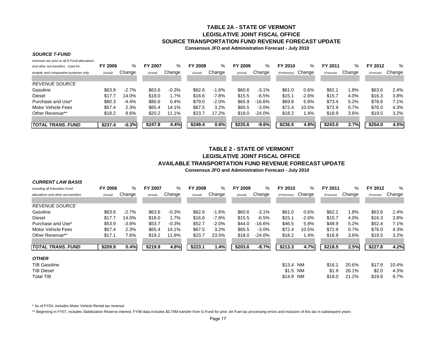## **TABLE 2A - STATE OF VERMONTLEGISLATIVE JOINT FISCAL OFFICESOURCE TRANSPORTATION FUND REVENUE FORECAST UPDATE**

**Consensus JFO and Administration Forecast - July 2010**

#### *SOURCE T-FUND*

*revenues are prior to all E-Fund allocations*

| and other out-transfers. Used for       | <b>FY 2006</b> | %       | <b>FY 2007</b> | %       | <b>FY 2008</b> | %       | FY 2009  | %        | FY 2010       | %       | FY 2011    | %      | FY 2012   | ℅      |
|-----------------------------------------|----------------|---------|----------------|---------|----------------|---------|----------|----------|---------------|---------|------------|--------|-----------|--------|
| analytic and comparative purposes only. | (Actual)       | Change  | (Actual)       | Change  | (Actual)       | Change  | (Actual) | Change   | (Preliminary) | Change  | (Forecast) | Change | (Forecast | Change |
| <b>REVENUE SOURCE</b>                   |                |         |                |         |                |         |          |          |               |         |            |        |           |        |
| Gasoline                                | \$63.8         | $-2.7%$ | \$63.6         | $-0.3%$ | \$62.6         | $-1.6%$ | \$60.6   | $-3.1%$  | \$61.0        | $0.6\%$ | \$62.7     | 1.8%   | \$63.6    | 2.4%   |
| Diesel                                  | \$17.7         | 14.0%   | \$18.0         | 1.7%    | \$16.6         | $-7.8%$ | \$15.5   | $-6.5%$  | \$15.1        | $-2.6%$ | \$15.7     | 4.0%   | \$16.3    | 3.8%   |
| Purchase and Use*                       | \$80.3         | $-4.4%$ | \$80.6         | 0.4%    | \$79.0         | $-2.0%$ | \$65.9   | $-16.6%$ | \$69.8        | 5.8%    | \$73.4     | 5.2%   | \$78.6    | 7.1%   |
| Motor Vehicle Fees                      | \$57.4         | 2.3%    | \$65.4         | 14.1%   | \$67.5         | 3.2%    | \$65.5   | $-3.0%$  | \$72.4        | 10.5%   | \$72.9     | 0.7%   | \$76.0    | 4.3%   |
| Other Revenue**                         | \$18.2         | 8.6%    | \$20.2         | 11.1%   | \$23.7         | 17.2%   | \$18.0   | $-24.0%$ | \$18.2        | 1.4%    | \$18.9     | 3.6%   | \$19.5    | 3.2%   |
|                                         |                |         |                |         |                |         |          |          |               |         |            |        |           |        |
| <b>ITOTAL TRANS. FUND</b>               | \$237.4        | $-0.3%$ | \$247.8        | 4.4%    | \$249.4        | 0.6%    | \$225.6  | $-9.6%$  | \$236.5       | 4.8%    | \$243.0    | 2.7%   | \$254.0   | 4.5%   |

## **TABLE 2 - STATE OF VERMONTLEGISLATIVE JOINT FISCAL OFFICEAVAILABLE TRANSPORTATION FUND REVENUE FORECAST UPDATE**

**Consensus JFO and Administration Forecast - July 2010**

| <b>CURRENT LAW BASIS</b>            |                |         |                |         |                |         |          |          |               |           |            |        |            |        |
|-------------------------------------|----------------|---------|----------------|---------|----------------|---------|----------|----------|---------------|-----------|------------|--------|------------|--------|
| including all Education Fund        | <b>FY 2006</b> | %       | <b>FY 2007</b> | %       | <b>FY 2008</b> | %       | FY 2009  | %        | FY 2010       | %         | FY 2011    | %      | FY 2012    | %      |
| allocations and other out-transfers | (Actual)       | Change  | (Actual)       | Change  | (Actual)       | Change  | (Actual) | Change   | (Preliminary) | Change    | (Forecast) | Change | (Forecast) | Change |
| <b>REVENUE SOURCE</b>               |                |         |                |         |                |         |          |          |               |           |            |        |            |        |
| Gasoline                            | \$63.8         | $-2.7%$ | \$63.6         | $-0.3%$ | \$62.6         | $-1.6%$ | \$60.6   | $-3.1%$  | \$61.0        | $0.6\%$   | \$62.1     | 1.8%   | \$63.6     | 2.4%   |
| <b>Diesel</b>                       | \$17.7         | 14.0%   | \$18.0         | 1.7%    | \$16.6         | $-7.8%$ | \$15.5   | $-6.5%$  | \$15.1        | $-2.6%$   | \$15.7     | 4.0%   | \$16.3     | 3.8%   |
| Purchase and Use*                   | \$53.9         | $-3.8%$ | \$53.7         | $-0.3%$ | \$52.7         | $-2.0%$ | \$44.0   | $-16.6%$ | \$46.5        | 5.8%      | \$48.9     | 5.2%   | \$52.4     | 7.1%   |
| Motor Vehicle Fees                  | \$57.4         | 2.3%    | \$65.4         | 14.1%   | \$67.5         | 3.2%    | \$65.5   | $-3.0%$  | \$72.4        | 10.5%     | \$72.9     | 0.7%   | \$76.0     | 4.3%   |
| Other Revenue**                     | \$17.1         | 7.6%    | \$19.2         | 11.9%   | \$23.7         | 23.5%   | \$18.0   | $-24.0%$ | \$18.2        | 1.4%      | \$18.9     | 3.6%   | \$19.5     | 3.2%   |
| <b>TOTAL TRANS. FUND</b>            | \$209.9        | 0.4%    | \$219.9        | 4.8%    | \$223.1        | 1.4%    | \$203.6  | $-8.7%$  | \$213.3       | 4.7%      | \$218.5    | 2.5%   | \$227.8    | 4.2%   |
| <b>OTHER</b>                        |                |         |                |         |                |         |          |          |               |           |            |        |            |        |
| <b>TIB Gasoline</b>                 |                |         |                |         |                |         |          |          | \$13.4 NM     |           | \$16.1     | 20.6%  | \$17.8     | 10.4%  |
| <b>TIB Diesel</b>                   |                |         |                |         |                |         |          |          | \$1.5 NM      |           | \$1.9      | 26.1%  | \$2.0      | 4.3%   |
| <b>Total TIB</b>                    |                |         |                |         |                |         |          |          | \$14.9        | <b>NM</b> | \$18.0     | 21.2%  | \$19.8     | 9.7%   |

\* As of FY04, includes Motor Vehicle Rental tax revenue

\*\* Beginning in FY07, includes Stabilization Reserve interest; FY08 data includes \$3.76M transfer from G-Fund for prior Jet Fuel tax processing errors and inclusion of this tax in subsequent years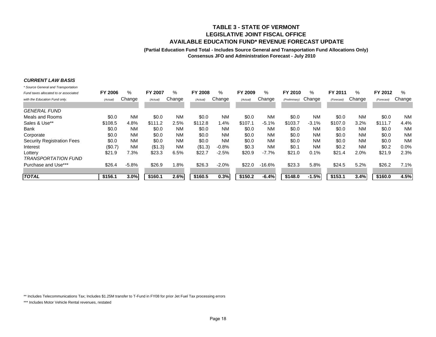#### **TABLE 3 - STATE OF VERMONT LEGISLATIVE JOINT FISCAL OFFICEAVAILABLE EDUCATION FUND\* REVENUE FORECAST UPDATE**

#### **(Partial Education Fund Total - Includes Source General and Transportation Fund Allocations Only) Consensus JFO and Administration Forecast - July 2010**

#### *CURRENT LAW BASIS*

| * Source General and Transportation   |                |           |                |           |                |           |          |           |                      |           |            |           |            |           |
|---------------------------------------|----------------|-----------|----------------|-----------|----------------|-----------|----------|-----------|----------------------|-----------|------------|-----------|------------|-----------|
| Fund taxes allocated to or associated | <b>FY 2006</b> | %         | <b>FY 2007</b> | %         | <b>FY 2008</b> | %         | FY 2009  | %         | FY 2010              | %         | FY 2011    | ℅         | FY 2012    | $\%$      |
| with the Education Fund only.         | (Actual)       | Change    | (Actual)       | Change    | (Actual)       | Change    | (Actual) | Change    | (Preliminary) Change |           | (Forecast) | Change    | (Forecast) | Change    |
| <b>GENERAL FUND</b>                   |                |           |                |           |                |           |          |           |                      |           |            |           |            |           |
| Meals and Rooms                       | \$0.0          | <b>NM</b> | \$0.0          | <b>NM</b> | \$0.0          | <b>NM</b> | \$0.0    | <b>NM</b> | \$0.0                | <b>NM</b> | \$0.0      | <b>NM</b> | \$0.0      | <b>NM</b> |
| Sales & Use**                         | \$108.5        | 4.8%      | \$111.2        | 2.5%      | \$112.8        | 1.4%      | \$107.1  | $-5.1%$   | \$103.7              | $-3.1%$   | \$107.0    | 3.2%      | \$111.7    | 4.4%      |
| Bank                                  | \$0.0          | <b>NM</b> | \$0.0          | <b>NM</b> | \$0.0          | <b>NM</b> | \$0.0    | <b>NM</b> | \$0.0                | <b>NM</b> | \$0.0      | <b>NM</b> | \$0.0      | <b>NM</b> |
| Corporate                             | \$0.0          | <b>NM</b> | \$0.0          | <b>NM</b> | \$0.0          | <b>NM</b> | \$0.0    | <b>NM</b> | \$0.0                | <b>NM</b> | \$0.0      | <b>NM</b> | \$0.0      | <b>NM</b> |
| <b>Security Registration Fees</b>     | \$0.0          | <b>NM</b> | \$0.0          | <b>NM</b> | \$0.0          | <b>NM</b> | \$0.0    | <b>NM</b> | \$0.0                | <b>NM</b> | \$0.0      | <b>NM</b> | \$0.0      | <b>NM</b> |
| Interest                              | (\$0.7)        | <b>NM</b> | (\$1.3)        | <b>NM</b> | (\$1.3)        | $-0.8%$   | \$0.3    | <b>NM</b> | \$0.1                | <b>NM</b> | \$0.2      | <b>NM</b> | \$0.2      | $0.0\%$   |
| Lottery                               | \$21.9         | 7.3%      | \$23.3         | 6.5%      | \$22.7         | $-2.5%$   | \$20.9   | $-7.7%$   | \$21.0               | 0.1%      | \$21.4     | 2.0%      | \$21.9     | 2.3%      |
| <b>TRANSPORTATION FUND</b>            |                |           |                |           |                |           |          |           |                      |           |            |           |            |           |
| Purchase and Use***                   | \$26.4         | $-5.8%$   | \$26.9         | 1.8%      | \$26.3         | $-2.0%$   | \$22.0   | -16.6%    | \$23.3               | 5.8%      | \$24.5     | 5.2%      | \$26.2     | 7.1%      |
| <b>TOTAL</b>                          | \$156.1        | 3.0%      | \$160.1        | 2.6%      | \$160.5        | 0.3%      | \$150.2  | $-6.4%$   | \$148.0              | $-1.5%$   | \$153.1    | 3.4%      | \$160.0    | 4.5%      |

\*\* Includes Telecommunications Tax; Includes \$1.25M transfer to T-Fund in FY08 for prior Jet Fuel Tax processing errors

\*\*\* Includes Motor Vehicle Rental revenues, restated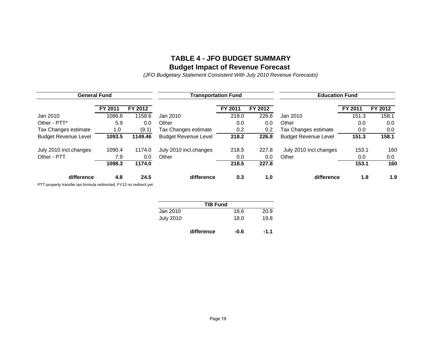## **TABLE 4 - JFO BUDGET SUMMARYBudget Impact of Revenue Forecast**

*(JFO Budgetary Statement Consistent With July 2010 Revenue Forecasts)*

| <b>General Fund</b>         |         |         |                             | <b>Transportation Fund</b> |         | <b>Education Fund</b>       |         |         |  |  |
|-----------------------------|---------|---------|-----------------------------|----------------------------|---------|-----------------------------|---------|---------|--|--|
|                             | FY 2011 | FY 2012 |                             | FY 2011                    | FY 2012 |                             | FY 2011 | FY 2012 |  |  |
| Jan 2010                    | 1086.6  | 1158.6  | Jan 2010                    | 218.0                      | 226.6   | Jan 2010                    | 151.3   | 158.1   |  |  |
| Other - PTT*                | 5.9     | 0.0     | Other                       | 0.0                        | 0.0     | Other                       | 0.0     | 0.0     |  |  |
| Tax Changes estimate        | 1.0     | (9.1)   | Tax Changes estimate        | 0.2                        | 0.2     | Tax Changes estimate        | 0.0     | 0.0     |  |  |
| <b>Budget Revenue Level</b> | 1093.5  | 1149.46 | <b>Budget Revenue Level</b> | 218.2                      | 226.8   | <b>Budget Revenue Level</b> | 151.3   | 158.1   |  |  |
| July 2010 incl.changes      | 1090.4  | 1174.0  | July 2010 incl.changes      | 218.5                      | 227.8   | July 2010 incl.changes      | 153.1   | 160     |  |  |
| Other - PTT                 | 7.9     | 0.0     | Other                       | 0.0                        | 0.0     | Other                       | 0.0     | 0.0     |  |  |
|                             | 1098.3  | 1174.0  |                             | 218.5                      | 227.8   |                             | 153.1   | 160     |  |  |
| difference                  | 4.8     | 24.5    | difference                  | 0.3                        | 1.0     | difference                  | 1.8     | 1.9     |  |  |

PTT-property transfer tax formula redirected, FY12 no redirect yet

| <b>TIB Fund</b>  |      |      |  |  |  |  |  |  |  |
|------------------|------|------|--|--|--|--|--|--|--|
| Jan 2010         | 18.6 | 20.9 |  |  |  |  |  |  |  |
| <b>July 2010</b> | 18.0 | 19.8 |  |  |  |  |  |  |  |

**difference -0.6 -1.1** $-1.1$